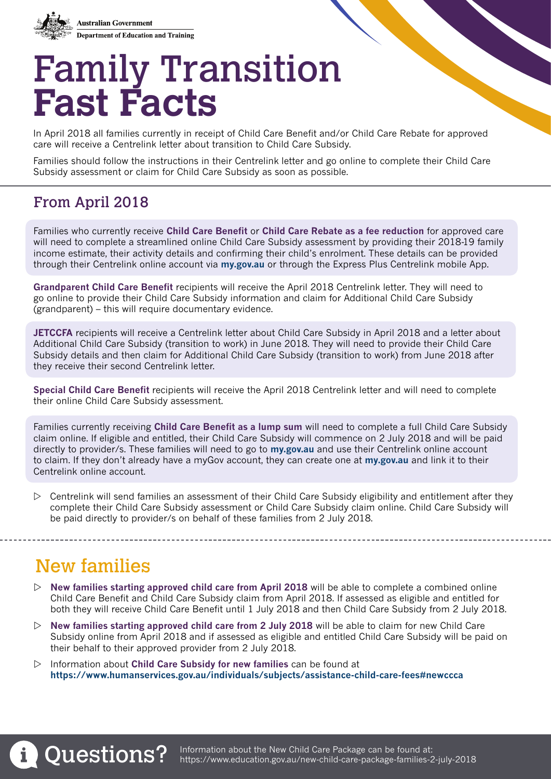

# Family Transition **Fast Facts**

In April 2018 all families currently in receipt of Child Care Benefit and/or Child Care Rebate for approved care will receive a Centrelink letter about transition to Child Care Subsidy.

Families should follow the instructions in their Centrelink letter and go online to complete their Child Care Subsidy assessment or claim for Child Care Subsidy as soon as possible.

## From April 2018

Families who currently receive **Child Care Benefit** or **Child Care Rebate as a fee reduction** for approved care will need to complete a streamlined online Child Care Subsidy assessment by providing their 2018-19 family income estimate, their activity details and confirming their child's enrolment. These details can be provided through their Centrelink online account via **[my.gov.au](https://my.gov.au/LoginServices/main/login?execution=e1s1)** or through the Express Plus Centrelink mobile App.

**Grandparent Child Care Benefit** recipients will receive the April 2018 Centrelink letter. They will need to go online to provide their Child Care Subsidy information and claim for Additional Child Care Subsidy (grandparent) – this will require documentary evidence.

**JETCCFA** recipients will receive a Centrelink letter about Child Care Subsidy in April 2018 and a letter about Additional Child Care Subsidy (transition to work) in June 2018. They will need to provide their Child Care Subsidy details and then claim for Additional Child Care Subsidy (transition to work) from June 2018 after they receive their second Centrelink letter.

**Special Child Care Benefit** recipients will receive the April 2018 Centrelink letter and will need to complete their online Child Care Subsidy assessment.

Families currently receiving **Child Care Benefit as a lump sum** will need to complete a full Child Care Subsidy claim online. If eligible and entitled, their Child Care Subsidy will commence on 2 July 2018 and will be paid directly to provider/s. These families will need to go to **[my.gov.au](https://my.gov.au/LoginServices/main/login?execution=e1s1)** and use their Centrelink online account to claim. If they don't already have a myGov account, they can create one at **[my.gov.au](https://my.gov.au/LoginServices/main/login?execution=e1s1)** and link it to their Centrelink online account.

 $\triangleright$  Centrelink will send families an assessment of their Child Care Subsidy eligibility and entitlement after they complete their Child Care Subsidy assessment or Child Care Subsidy claim online. Child Care Subsidy will be paid directly to provider/s on behalf of these families from 2 July 2018.

# New families

- $\triangleright$  **New families starting approved child care from April 2018** will be able to complete a combined online Child Care Benefit and Child Care Subsidy claim from April 2018. If assessed as eligible and entitled for both they will receive Child Care Benefit until 1 July 2018 and then Child Care Subsidy from 2 July 2018.
- $\triangleright$  **New families starting approved child care from 2 July 2018** will be able to claim for new Child Care Subsidy online from April 2018 and if assessed as eligible and entitled Child Care Subsidy will be paid on their behalf to their approved provider from 2 July 2018.
- $\triangleright$  Information about **Child Care Subsidy for new families** can be found at **https://www.humanservices.gov.au/individuals/subjects/assistance-child-care-fees#newccca**